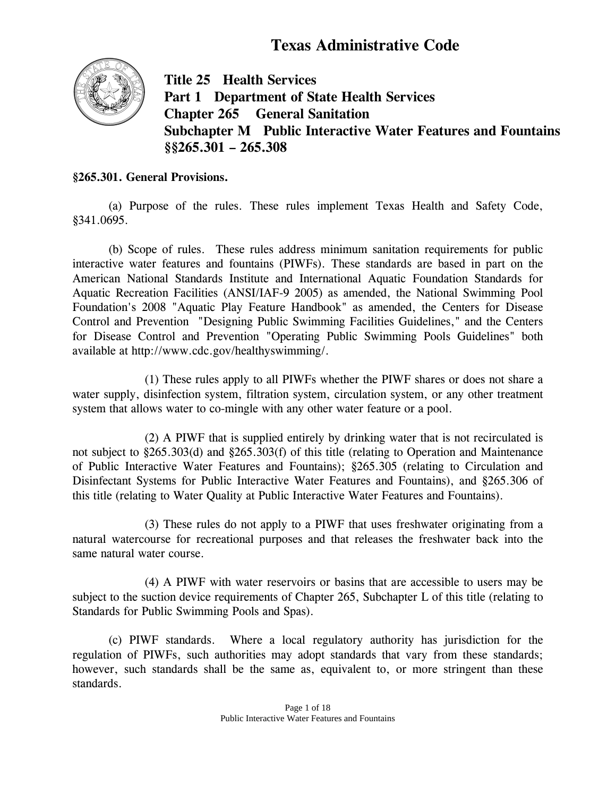# **Texas Administrative Code**



**Title 25 Health Services Part 1 Department of State Health Services Chapter 265 General Sanitation Subchapter M Public Interactive Water Features and Fountains §§265.301 – 265.308** 

#### **§265.301. General Provisions.**

(a) Purpose of the rules. These rules implement Texas Health and Safety Code, §341.0695.

 (b) Scope of rules. These rules address minimum sanitation requirements for public interactive water features and fountains (PIWFs). These standards are based in part on the American National Standards Institute and International Aquatic Foundation Standards for Aquatic Recreation Facilities (ANSI/IAF-9 2005) as amended, the National Swimming Pool Foundation's 2008 "Aquatic Play Feature Handbook" as amended, the Centers for Disease Control and Prevention "Designing Public Swimming Facilities Guidelines," and the Centers for Disease Control and Prevention "Operating Public Swimming Pools Guidelines" both available at http://www.cdc.gov/healthyswimming/.

 (1) These rules apply to all PIWFs whether the PIWF shares or does not share a water supply, disinfection system, filtration system, circulation system, or any other treatment system that allows water to co-mingle with any other water feature or a pool.

 (2) A PIWF that is supplied entirely by drinking water that is not recirculated is not subject to §265.303(d) and §265.303(f) of this title (relating to Operation and Maintenance of Public Interactive Water Features and Fountains); §265.305 (relating to Circulation and Disinfectant Systems for Public Interactive Water Features and Fountains), and §265.306 of this title (relating to Water Quality at Public Interactive Water Features and Fountains).

 (3) These rules do not apply to a PIWF that uses freshwater originating from a natural watercourse for recreational purposes and that releases the freshwater back into the same natural water course.

 (4) A PIWF with water reservoirs or basins that are accessible to users may be subject to the suction device requirements of Chapter 265, Subchapter L of this title (relating to Standards for Public Swimming Pools and Spas).

 (c) PIWF standards. Where a local regulatory authority has jurisdiction for the regulation of PIWFs, such authorities may adopt standards that vary from these standards; however, such standards shall be the same as, equivalent to, or more stringent than these standards.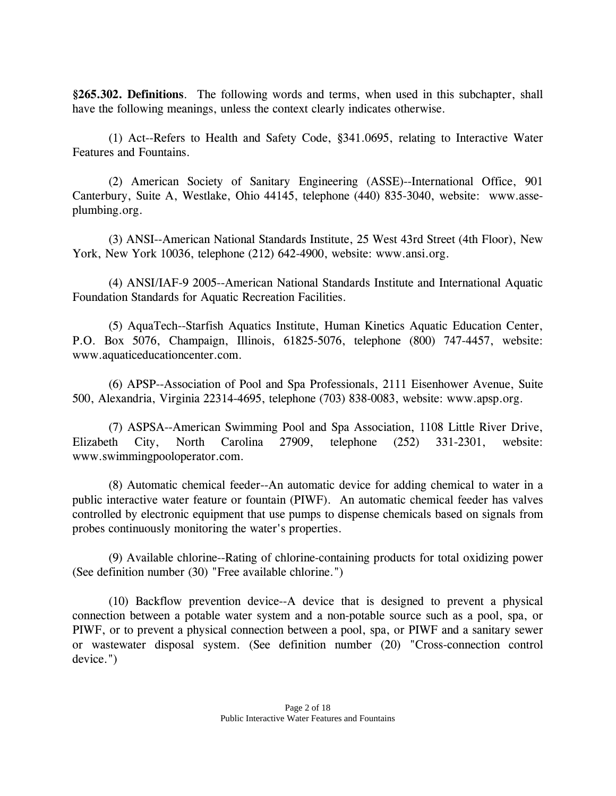**§265.302. Definitions**. The following words and terms, when used in this subchapter, shall have the following meanings, unless the context clearly indicates otherwise.

 (1) Act--Refers to Health and Safety Code, §341.0695, relating to Interactive Water Features and Fountains.

 (2) American Society of Sanitary Engineering (ASSE)--International Office, 901 Canterbury, Suite A, Westlake, Ohio 44145, telephone (440) 835-3040, website: www.asseplumbing.org.

 (3) ANSI--American National Standards Institute, 25 West 43rd Street (4th Floor), New York, New York 10036, telephone (212) 642-4900, website: www.ansi.org.

 (4) ANSI/IAF-9 2005--American National Standards Institute and International Aquatic Foundation Standards for Aquatic Recreation Facilities.

 (5) AquaTech--Starfish Aquatics Institute, Human Kinetics Aquatic Education Center, P.O. Box 5076, Champaign, Illinois, 61825-5076, telephone (800) 747-4457, website: www.aquaticeducationcenter.com.

 (6) APSP--Association of Pool and Spa Professionals, 2111 Eisenhower Avenue, Suite 500, Alexandria, Virginia 22314-4695, telephone (703) 838-0083, website: www.apsp.org.

 (7) ASPSA--American Swimming Pool and Spa Association, 1108 Little River Drive, Elizabeth City, North Carolina 27909, telephone (252) 331-2301, website: www.swimmingpooloperator.com.

 (8) Automatic chemical feeder--An automatic device for adding chemical to water in a public interactive water feature or fountain (PIWF). An automatic chemical feeder has valves controlled by electronic equipment that use pumps to dispense chemicals based on signals from probes continuously monitoring the water's properties.

 (9) Available chlorine--Rating of chlorine-containing products for total oxidizing power (See definition number (30) "Free available chlorine.")

 (10) Backflow prevention device--A device that is designed to prevent a physical connection between a potable water system and a non-potable source such as a pool, spa, or PIWF, or to prevent a physical connection between a pool, spa, or PIWF and a sanitary sewer or wastewater disposal system. (See definition number (20) "Cross-connection control device.")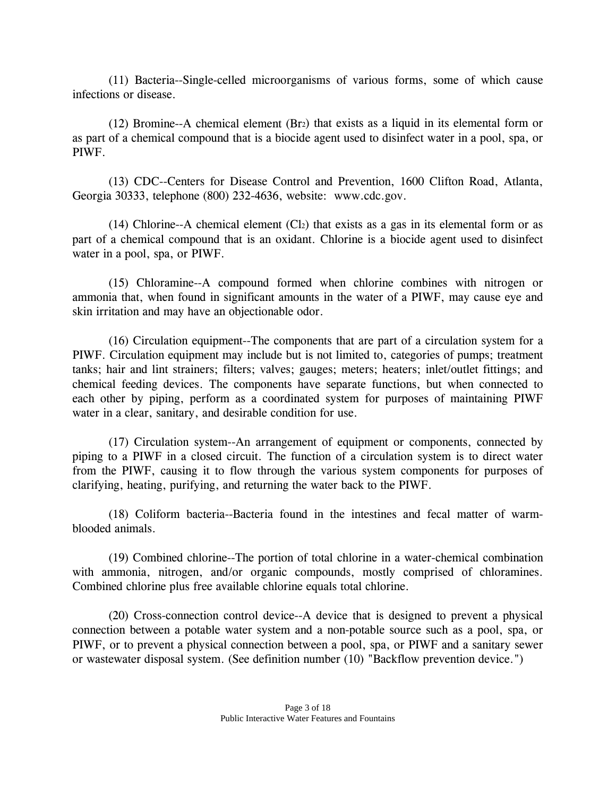(11) Bacteria--Single-celled microorganisms of various forms, some of which cause infections or disease.

 (12) Bromine--A chemical element (Br2) that exists as a liquid in its elemental form or as part of a chemical compound that is a biocide agent used to disinfect water in a pool, spa, or PIWF.

 (13) CDC--Centers for Disease Control and Prevention, 1600 Clifton Road, Atlanta, Georgia 30333, telephone (800) 232-4636, website: www.cdc.gov.

 $(14)$  Chlorine--A chemical element  $(Cl<sub>2</sub>)$  that exists as a gas in its elemental form or as part of a chemical compound that is an oxidant. Chlorine is a biocide agent used to disinfect water in a pool, spa, or PIWF.

 (15) Chloramine--A compound formed when chlorine combines with nitrogen or ammonia that, when found in significant amounts in the water of a PIWF, may cause eye and skin irritation and may have an objectionable odor.

 (16) Circulation equipment--The components that are part of a circulation system for a PIWF. Circulation equipment may include but is not limited to, categories of pumps; treatment tanks; hair and lint strainers; filters; valves; gauges; meters; heaters; inlet/outlet fittings; and chemical feeding devices. The components have separate functions, but when connected to each other by piping, perform as a coordinated system for purposes of maintaining PIWF water in a clear, sanitary, and desirable condition for use.

 (17) Circulation system--An arrangement of equipment or components, connected by piping to a PIWF in a closed circuit. The function of a circulation system is to direct water from the PIWF, causing it to flow through the various system components for purposes of clarifying, heating, purifying, and returning the water back to the PIWF.

 (18) Coliform bacteria--Bacteria found in the intestines and fecal matter of warmblooded animals.

 (19) Combined chlorine--The portion of total chlorine in a water-chemical combination with ammonia, nitrogen, and/or organic compounds, mostly comprised of chloramines. Combined chlorine plus free available chlorine equals total chlorine.

 (20) Cross-connection control device--A device that is designed to prevent a physical connection between a potable water system and a non-potable source such as a pool, spa, or PIWF, or to prevent a physical connection between a pool, spa, or PIWF and a sanitary sewer or wastewater disposal system. (See definition number (10) "Backflow prevention device.")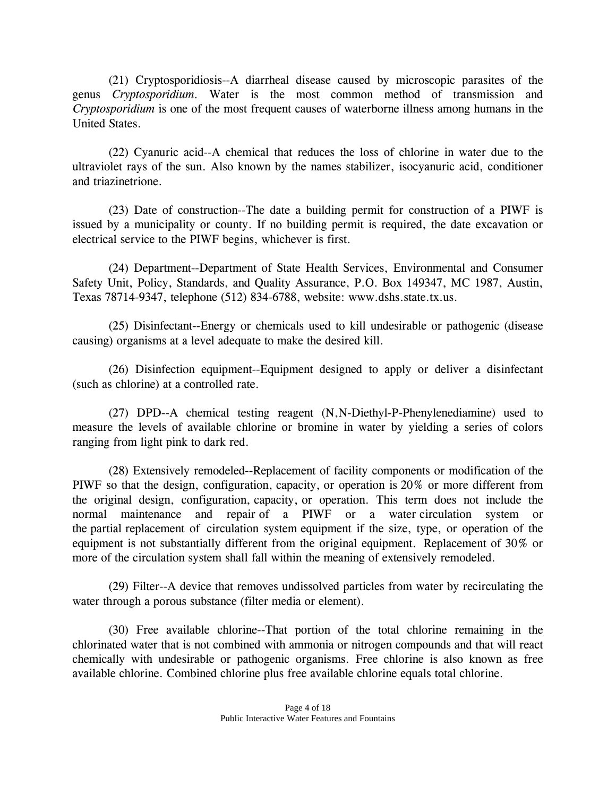(21) Cryptosporidiosis--A diarrheal disease caused by microscopic parasites of the genus *Cryptosporidium*. Water is the most common method of transmission and *Cryptosporidium* is one of the most frequent causes of waterborne illness among humans in the United States.

 (22) Cyanuric acid--A chemical that reduces the loss of chlorine in water due to the ultraviolet rays of the sun. Also known by the names stabilizer, isocyanuric acid, conditioner and triazinetrione.

(23) Date of construction--The date a building permit for construction of a PIWF is issued by a municipality or county. If no building permit is required, the date excavation or electrical service to the PIWF begins, whichever is first.

 (24) Department--Department of State Health Services, Environmental and Consumer Safety Unit, Policy, Standards, and Quality Assurance, P.O. Box 149347, MC 1987, Austin, Texas 78714-9347, telephone (512) 834-6788, website: www.dshs.state.tx.us.

 (25) Disinfectant--Energy or chemicals used to kill undesirable or pathogenic (disease causing) organisms at a level adequate to make the desired kill.

 (26) Disinfection equipment--Equipment designed to apply or deliver a disinfectant (such as chlorine) at a controlled rate.

 (27) DPD--A chemical testing reagent (N,N-Diethyl-P-Phenylenediamine) used to measure the levels of available chlorine or bromine in water by yielding a series of colors ranging from light pink to dark red.

 (28) Extensively remodeled--Replacement of facility components or modification of the PIWF so that the design, configuration, capacity, or operation is 20% or more different from the original design, configuration, capacity, or operation. This term does not include the normal maintenance and repair of a PIWF or a water circulation system or the partial replacement of circulation system equipment if the size, type, or operation of the equipment is not substantially different from the original equipment. Replacement of 30% or more of the circulation system shall fall within the meaning of extensively remodeled.

 (29) Filter--A device that removes undissolved particles from water by recirculating the water through a porous substance (filter media or element).

 (30) Free available chlorine--That portion of the total chlorine remaining in the chlorinated water that is not combined with ammonia or nitrogen compounds and that will react chemically with undesirable or pathogenic organisms. Free chlorine is also known as free available chlorine. Combined chlorine plus free available chlorine equals total chlorine.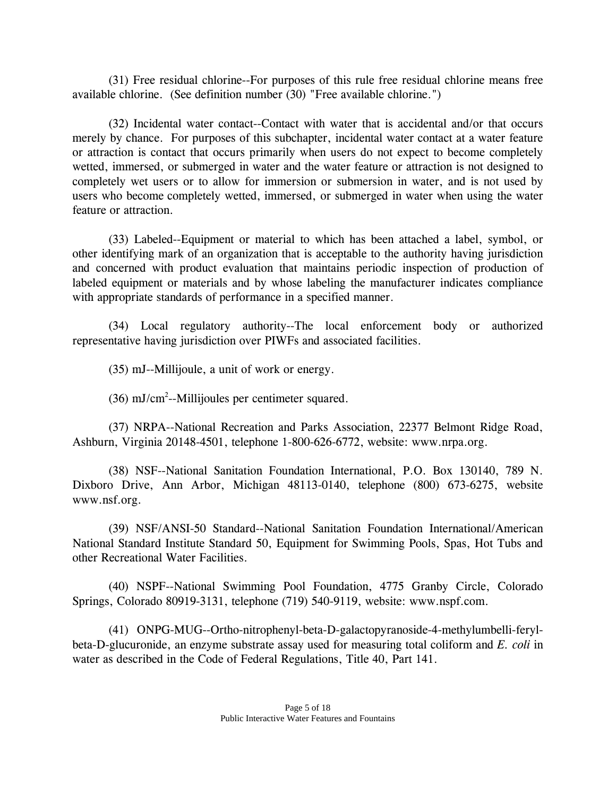(31) Free residual chlorine--For purposes of this rule free residual chlorine means free available chlorine. (See definition number (30) "Free available chlorine.")

 (32) Incidental water contact--Contact with water that is accidental and/or that occurs merely by chance. For purposes of this subchapter, incidental water contact at a water feature or attraction is contact that occurs primarily when users do not expect to become completely wetted, immersed, or submerged in water and the water feature or attraction is not designed to completely wet users or to allow for immersion or submersion in water, and is not used by users who become completely wetted, immersed, or submerged in water when using the water feature or attraction.

 (33) Labeled--Equipment or material to which has been attached a label, symbol, or other identifying mark of an organization that is acceptable to the authority having jurisdiction and concerned with product evaluation that maintains periodic inspection of production of labeled equipment or materials and by whose labeling the manufacturer indicates compliance with appropriate standards of performance in a specified manner.

 (34) Local regulatory authority--The local enforcement body or authorized representative having jurisdiction over PIWFs and associated facilities.

(35) mJ--Millijoule, a unit of work or energy.

 $(36)$  mJ/cm<sup>2</sup>--Millijoules per centimeter squared.

 (37) NRPA--National Recreation and Parks Association, 22377 Belmont Ridge Road, Ashburn, Virginia 20148-4501, telephone 1-800-626-6772, website: www.nrpa.org.

 (38) NSF--National Sanitation Foundation International, P.O. Box 130140, 789 N. Dixboro Drive, Ann Arbor, Michigan 48113-0140, telephone (800) 673-6275, website www.nsf.org.

 (39) NSF/ANSI-50 Standard--National Sanitation Foundation International/American National Standard Institute Standard 50, Equipment for Swimming Pools, Spas, Hot Tubs and other Recreational Water Facilities.

 (40) NSPF--National Swimming Pool Foundation, 4775 Granby Circle, Colorado Springs, Colorado 80919-3131, telephone (719) 540-9119, website: www.nspf.com.

 (41) ONPG-MUG--Ortho-nitrophenyl-beta-D-galactopyranoside-4-methylumbelli-ferylbeta-D-glucuronide, an enzyme substrate assay used for measuring total coliform and *E. coli* in water as described in the Code of Federal Regulations, Title 40, Part 141.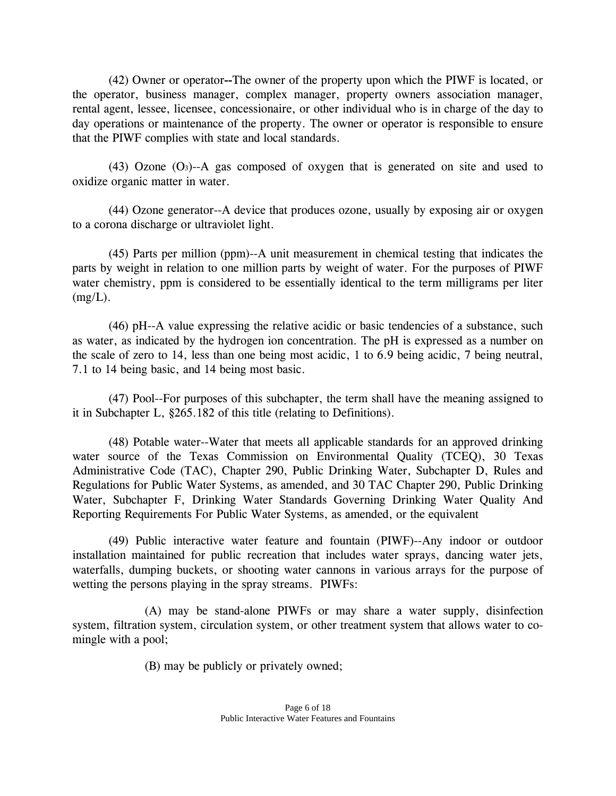(42) Owner or operator**--**The owner of the property upon which the PIWF is located, or the operator, business manager, complex manager, property owners association manager, rental agent, lessee, licensee, concessionaire, or other individual who is in charge of the day to day operations or maintenance of the property. The owner or operator is responsible to ensure that the PIWF complies with state and local standards.

 (43) Ozone (O3)--A gas composed of oxygen that is generated on site and used to oxidize organic matter in water.

 (44) Ozone generator--A device that produces ozone, usually by exposing air or oxygen to a corona discharge or ultraviolet light.

 (45) Parts per million (ppm)--A unit measurement in chemical testing that indicates the parts by weight in relation to one million parts by weight of water. For the purposes of PIWF water chemistry, ppm is considered to be essentially identical to the term milligrams per liter  $(mg/L)$ .

 (46) pH--A value expressing the relative acidic or basic tendencies of a substance, such as water, as indicated by the hydrogen ion concentration. The pH is expressed as a number on the scale of zero to 14, less than one being most acidic, 1 to 6.9 being acidic, 7 being neutral, 7.1 to 14 being basic, and 14 being most basic.

 (47) Pool--For purposes of this subchapter, the term shall have the meaning assigned to it in Subchapter L, §265.182 of this title (relating to Definitions).

 (48) Potable water--Water that meets all applicable standards for an approved drinking water source of the Texas Commission on Environmental Quality (TCEQ), 30 Texas Administrative Code (TAC), Chapter 290, Public Drinking Water, Subchapter D, Rules and Regulations for Public Water Systems, as amended, and 30 TAC Chapter 290, Public Drinking Water, Subchapter F, Drinking Water Standards Governing Drinking Water Quality And Reporting Requirements For Public Water Systems, as amended, or the equivalent

 (49) Public interactive water feature and fountain (PIWF)--Any indoor or outdoor installation maintained for public recreation that includes water sprays, dancing water jets, waterfalls, dumping buckets, or shooting water cannons in various arrays for the purpose of wetting the persons playing in the spray streams. PIWFs:

 (A) may be stand-alone PIWFs or may share a water supply, disinfection system, filtration system, circulation system, or other treatment system that allows water to comingle with a pool;

(B) may be publicly or privately owned;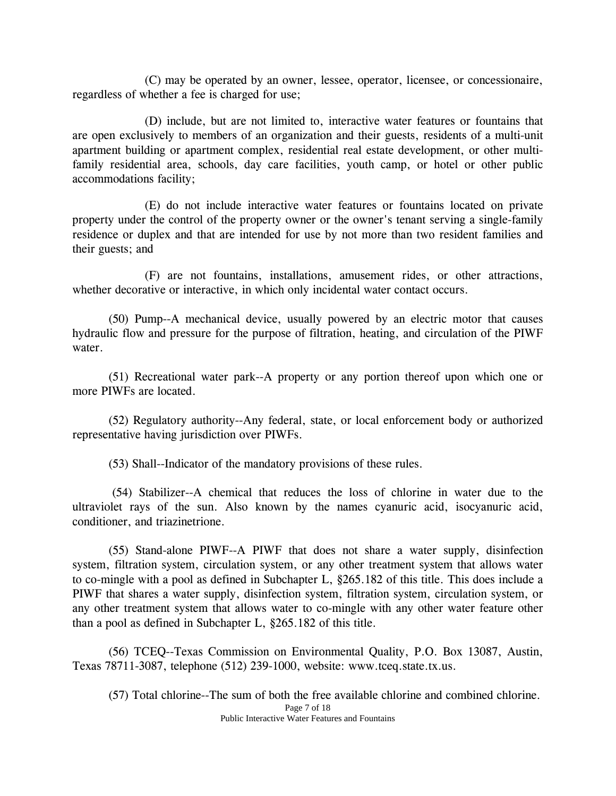(C) may be operated by an owner, lessee, operator, licensee, or concessionaire, regardless of whether a fee is charged for use;

 (D) include, but are not limited to, interactive water features or fountains that are open exclusively to members of an organization and their guests, residents of a multi-unit apartment building or apartment complex, residential real estate development, or other multifamily residential area, schools, day care facilities, youth camp, or hotel or other public accommodations facility;

 (E) do not include interactive water features or fountains located on private property under the control of the property owner or the owner's tenant serving a single-family residence or duplex and that are intended for use by not more than two resident families and their guests; and

 (F) are not fountains, installations, amusement rides, or other attractions, whether decorative or interactive, in which only incidental water contact occurs.

 (50) Pump--A mechanical device, usually powered by an electric motor that causes hydraulic flow and pressure for the purpose of filtration, heating, and circulation of the PIWF water.

 (51) Recreational water park--A property or any portion thereof upon which one or more PIWFs are located.

 (52) Regulatory authority--Any federal, state, or local enforcement body or authorized representative having jurisdiction over PIWFs.

(53) Shall--Indicator of the mandatory provisions of these rules.

 (54) Stabilizer--A chemical that reduces the loss of chlorine in water due to the ultraviolet rays of the sun. Also known by the names cyanuric acid, isocyanuric acid, conditioner, and triazinetrione.

 (55) Stand-alone PIWF--A PIWF that does not share a water supply, disinfection system, filtration system, circulation system, or any other treatment system that allows water to co-mingle with a pool as defined in Subchapter L, §265.182 of this title. This does include a PIWF that shares a water supply, disinfection system, filtration system, circulation system, or any other treatment system that allows water to co-mingle with any other water feature other than a pool as defined in Subchapter L, §265.182 of this title.

 (56) TCEQ--Texas Commission on Environmental Quality, P.O. Box 13087, Austin, Texas 78711-3087, telephone (512) 239-1000, website: www.tceq.state.tx.us.

Page 7 of 18 Public Interactive Water Features and Fountains (57) Total chlorine--The sum of both the free available chlorine and combined chlorine.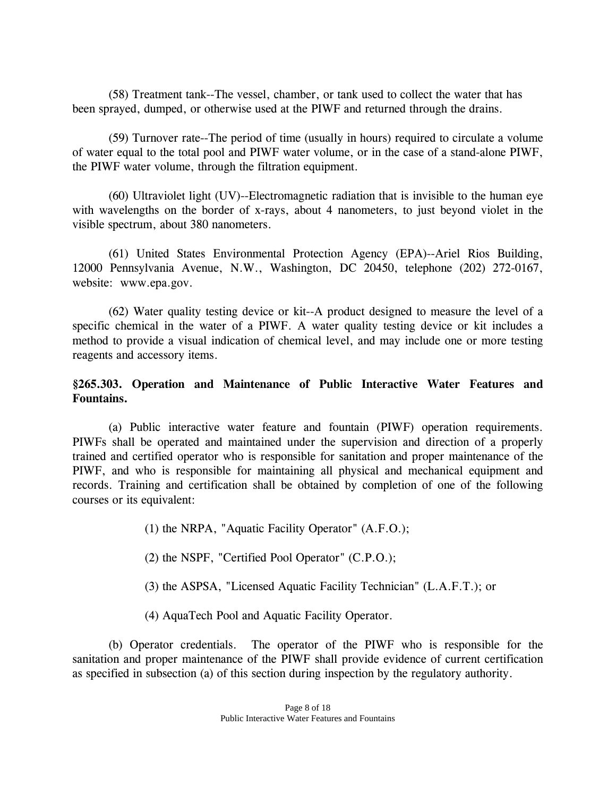(58) Treatment tank--The vessel, chamber, or tank used to collect the water that has been sprayed, dumped, or otherwise used at the PIWF and returned through the drains.

 (59) Turnover rate--The period of time (usually in hours) required to circulate a volume of water equal to the total pool and PIWF water volume, or in the case of a stand-alone PIWF, the PIWF water volume, through the filtration equipment.

 (60) Ultraviolet light (UV)--Electromagnetic radiation that is invisible to the human eye with wavelengths on the border of x-rays, about 4 nanometers, to just beyond violet in the visible spectrum, about 380 nanometers.

 (61) United States Environmental Protection Agency (EPA)--Ariel Rios Building, 12000 Pennsylvania Avenue, N.W., Washington, DC 20450, telephone (202) 272-0167, website: www.epa.gov.

 (62) Water quality testing device or kit--A product designed to measure the level of a specific chemical in the water of a PIWF. A water quality testing device or kit includes a method to provide a visual indication of chemical level, and may include one or more testing reagents and accessory items.

## **§265.303. Operation and Maintenance of Public Interactive Water Features and Fountains.**

 (a) Public interactive water feature and fountain (PIWF) operation requirements. PIWFs shall be operated and maintained under the supervision and direction of a properly trained and certified operator who is responsible for sanitation and proper maintenance of the PIWF, and who is responsible for maintaining all physical and mechanical equipment and records. Training and certification shall be obtained by completion of one of the following courses or its equivalent:

(1) the NRPA, "Aquatic Facility Operator" (A.F.O.);

(2) the NSPF, "Certified Pool Operator" (C.P.O.);

(3) the ASPSA, "Licensed Aquatic Facility Technician" (L.A.F.T.); or

(4) AquaTech Pool and Aquatic Facility Operator.

 (b) Operator credentials. The operator of the PIWF who is responsible for the sanitation and proper maintenance of the PIWF shall provide evidence of current certification as specified in subsection (a) of this section during inspection by the regulatory authority.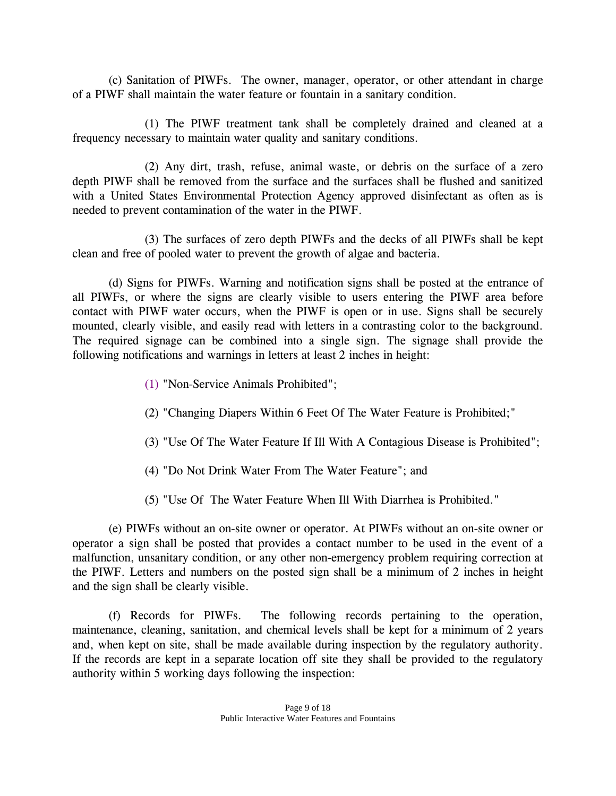(c) Sanitation of PIWFs. The owner, manager, operator, or other attendant in charge of a PIWF shall maintain the water feature or fountain in a sanitary condition.

 (1) The PIWF treatment tank shall be completely drained and cleaned at a frequency necessary to maintain water quality and sanitary conditions.

 (2) Any dirt, trash, refuse, animal waste, or debris on the surface of a zero depth PIWF shall be removed from the surface and the surfaces shall be flushed and sanitized with a United States Environmental Protection Agency approved disinfectant as often as is needed to prevent contamination of the water in the PIWF.

 (3) The surfaces of zero depth PIWFs and the decks of all PIWFs shall be kept clean and free of pooled water to prevent the growth of algae and bacteria.

 (d) Signs for PIWFs. Warning and notification signs shall be posted at the entrance of all PIWFs, or where the signs are clearly visible to users entering the PIWF area before contact with PIWF water occurs, when the PIWF is open or in use. Signs shall be securely mounted, clearly visible, and easily read with letters in a contrasting color to the background. The required signage can be combined into a single sign. The signage shall provide the following notifications and warnings in letters at least 2 inches in height:

- (1) "Non-Service Animals Prohibited";
- (2) "Changing Diapers Within 6 Feet Of The Water Feature is Prohibited;"
- (3) "Use Of The Water Feature If Ill With A Contagious Disease is Prohibited";
- (4) "Do Not Drink Water From The Water Feature"; and
- (5) "Use Of The Water Feature When Ill With Diarrhea is Prohibited."

 (e) PIWFs without an on-site owner or operator. At PIWFs without an on-site owner or operator a sign shall be posted that provides a contact number to be used in the event of a malfunction, unsanitary condition, or any other non-emergency problem requiring correction at the PIWF. Letters and numbers on the posted sign shall be a minimum of 2 inches in height and the sign shall be clearly visible.

 (f) Records for PIWFs. The following records pertaining to the operation, maintenance, cleaning, sanitation, and chemical levels shall be kept for a minimum of 2 years and, when kept on site, shall be made available during inspection by the regulatory authority. If the records are kept in a separate location off site they shall be provided to the regulatory authority within 5 working days following the inspection: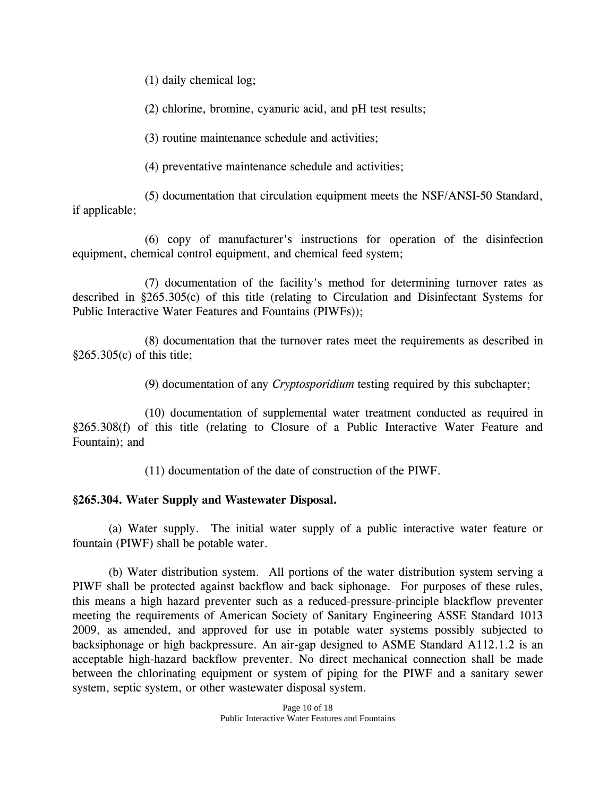(1) daily chemical log;

(2) chlorine, bromine, cyanuric acid, and pH test results;

(3) routine maintenance schedule and activities;

(4) preventative maintenance schedule and activities;

(5) documentation that circulation equipment meets the NSF/ANSI-50 Standard, if applicable;

(6) copy of manufacturer's instructions for operation of the disinfection equipment, chemical control equipment, and chemical feed system;

 (7) documentation of the facility's method for determining turnover rates as described in §265.305(c) of this title (relating to Circulation and Disinfectant Systems for Public Interactive Water Features and Fountains (PIWFs));

 (8) documentation that the turnover rates meet the requirements as described in §265.305(c) of this title;

(9) documentation of any *Cryptosporidium* testing required by this subchapter;

(10) documentation of supplemental water treatment conducted as required in §265.308(f) of this title (relating to Closure of a Public Interactive Water Feature and Fountain); and

(11) documentation of the date of construction of the PIWF.

## **§265.304. Water Supply and Wastewater Disposal.**

 (a) Water supply. The initial water supply of a public interactive water feature or fountain (PIWF) shall be potable water.

(b) Water distribution system. All portions of the water distribution system serving a PIWF shall be protected against backflow and back siphonage. For purposes of these rules, this means a high hazard preventer such as a reduced-pressure-principle blackflow preventer meeting the requirements of American Society of Sanitary Engineering ASSE Standard 1013 2009, as amended, and approved for use in potable water systems possibly subjected to backsiphonage or high backpressure. An air-gap designed to ASME Standard A112.1.2 is an acceptable high-hazard backflow preventer. No direct mechanical connection shall be made between the chlorinating equipment or system of piping for the PIWF and a sanitary sewer system, septic system, or other wastewater disposal system.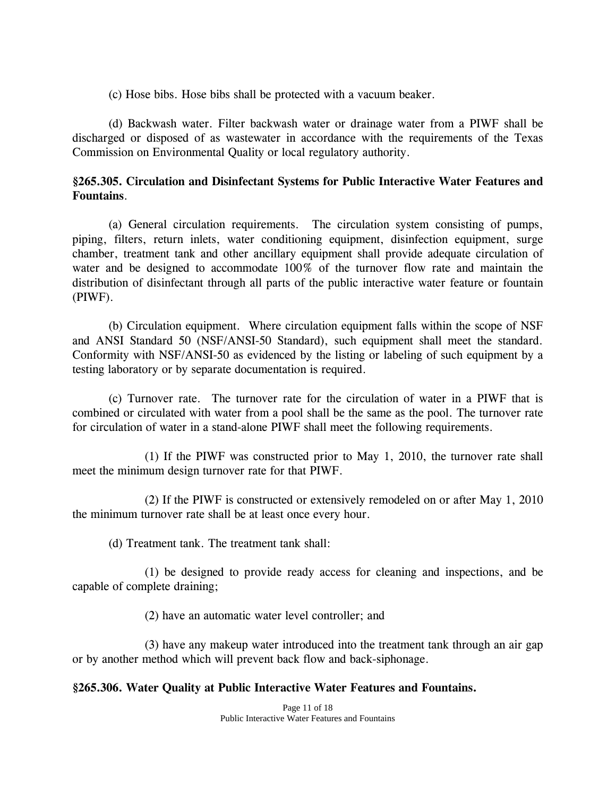(c) Hose bibs. Hose bibs shall be protected with a vacuum beaker.

 (d) Backwash water. Filter backwash water or drainage water from a PIWF shall be discharged or disposed of as wastewater in accordance with the requirements of the Texas Commission on Environmental Quality or local regulatory authority.

#### **§265.305. Circulation and Disinfectant Systems for Public Interactive Water Features and Fountains**.

 (a) General circulation requirements. The circulation system consisting of pumps, piping, filters, return inlets, water conditioning equipment, disinfection equipment, surge chamber, treatment tank and other ancillary equipment shall provide adequate circulation of water and be designed to accommodate 100% of the turnover flow rate and maintain the distribution of disinfectant through all parts of the public interactive water feature or fountain (PIWF).

 (b) Circulation equipment. Where circulation equipment falls within the scope of NSF and ANSI Standard 50 (NSF/ANSI-50 Standard), such equipment shall meet the standard. Conformity with NSF/ANSI-50 as evidenced by the listing or labeling of such equipment by a testing laboratory or by separate documentation is required.

 (c) Turnover rate. The turnover rate for the circulation of water in a PIWF that is combined or circulated with water from a pool shall be the same as the pool. The turnover rate for circulation of water in a stand-alone PIWF shall meet the following requirements.

 (1) If the PIWF was constructed prior to May 1, 2010, the turnover rate shall meet the minimum design turnover rate for that PIWF.

 (2) If the PIWF is constructed or extensively remodeled on or after May 1, 2010 the minimum turnover rate shall be at least once every hour.

(d) Treatment tank. The treatment tank shall:

 (1) be designed to provide ready access for cleaning and inspections, and be capable of complete draining;

(2) have an automatic water level controller; and

 (3) have any makeup water introduced into the treatment tank through an air gap or by another method which will prevent back flow and back-siphonage.

### **§265.306. Water Quality at Public Interactive Water Features and Fountains.**

Page 11 of 18 Public Interactive Water Features and Fountains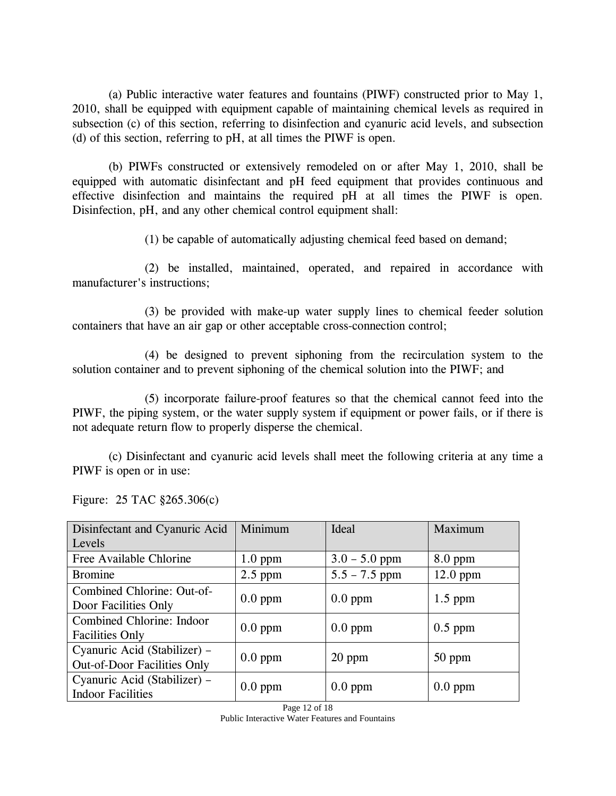(a) Public interactive water features and fountains (PIWF) constructed prior to May 1, 2010, shall be equipped with equipment capable of maintaining chemical levels as required in subsection (c) of this section, referring to disinfection and cyanuric acid levels, and subsection (d) of this section, referring to pH, at all times the PIWF is open.

 (b) PIWFs constructed or extensively remodeled on or after May 1, 2010, shall be equipped with automatic disinfectant and pH feed equipment that provides continuous and effective disinfection and maintains the required pH at all times the PIWF is open. Disinfection, pH, and any other chemical control equipment shall:

(1) be capable of automatically adjusting chemical feed based on demand;

 (2) be installed, maintained, operated, and repaired in accordance with manufacturer's instructions;

 (3) be provided with make-up water supply lines to chemical feeder solution containers that have an air gap or other acceptable cross-connection control;

 (4) be designed to prevent siphoning from the recirculation system to the solution container and to prevent siphoning of the chemical solution into the PIWF; and

 (5) incorporate failure-proof features so that the chemical cannot feed into the PIWF, the piping system, or the water supply system if equipment or power fails, or if there is not adequate return flow to properly disperse the chemical.

 (c) Disinfectant and cyanuric acid levels shall meet the following criteria at any time a PIWF is open or in use:

| Disinfectant and Cyanuric Acid<br>Levels                           | Minimum   | Ideal           | Maximum    |
|--------------------------------------------------------------------|-----------|-----------------|------------|
| Free Available Chlorine                                            | $1.0$ ppm | $3.0 - 5.0$ ppm | $8.0$ ppm  |
| <b>Bromine</b>                                                     | $2.5$ ppm | $5.5 - 7.5$ ppm | $12.0$ ppm |
| Combined Chlorine: Out-of-<br>Door Facilities Only                 | $0.0$ ppm | $0.0$ ppm       | $1.5$ ppm  |
| Combined Chlorine: Indoor<br><b>Facilities Only</b>                | $0.0$ ppm | $0.0$ ppm       | $0.5$ ppm  |
| Cyanuric Acid (Stabilizer) -<br><b>Out-of-Door Facilities Only</b> | $0.0$ ppm | 20 ppm          | $50$ ppm   |
| Cyanuric Acid (Stabilizer) -<br><b>Indoor Facilities</b>           | $0.0$ ppm | $0.0$ ppm       | $0.0$ ppm  |

Figure: 25 TAC §265.306(c)

Page 12 of 18 Public Interactive Water Features and Fountains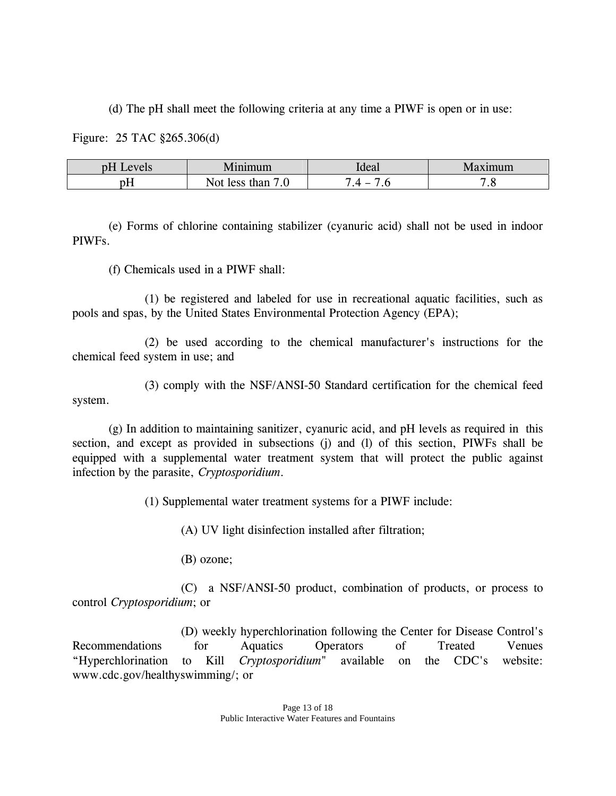(d) The pH shall meet the following criteria at any time a PIWF is open or in use:

Figure: 25 TAC §265.306(d)

| $\alpha$ <sub>1/</sub> $\alpha$ <sub>10</sub><br>ULL.<br>UI J<br>$\overline{\phantom{a}}$ | 1n1m11m                                | Ideal         | ımum      |
|-------------------------------------------------------------------------------------------|----------------------------------------|---------------|-----------|
| $\mathbf{D}$                                                                              | than<br>$A^{\alpha}$<br>√∩t<br>$\cdot$ | -<br>$\cdots$ | $\cdot$ . |

 (e) Forms of chlorine containing stabilizer (cyanuric acid) shall not be used in indoor PIWFs.

(f) Chemicals used in a PIWF shall:

 (1) be registered and labeled for use in recreational aquatic facilities, such as pools and spas, by the United States Environmental Protection Agency (EPA);

 (2) be used according to the chemical manufacturer's instructions for the chemical feed system in use; and

 (3) comply with the NSF/ANSI-50 Standard certification for the chemical feed system.

 (g) In addition to maintaining sanitizer, cyanuric acid, and pH levels as required in this section, and except as provided in subsections (i) and (l) of this section, PIWFs shall be equipped with a supplemental water treatment system that will protect the public against infection by the parasite, *Cryptosporidium*.

(1) Supplemental water treatment systems for a PIWF include:

(A) UV light disinfection installed after filtration;

(B) ozone;

 (C) a NSF/ANSI-50 product, combination of products, or process to control *Cryptosporidium*; or

 (D) weekly hyperchlorination following the Center for Disease Control's Recommendations for Aquatics Operators of Treated Venues "Hyperchlorination to Kill *Cryptosporidium*" available on the CDC's website: www.cdc.gov/healthyswimming/; or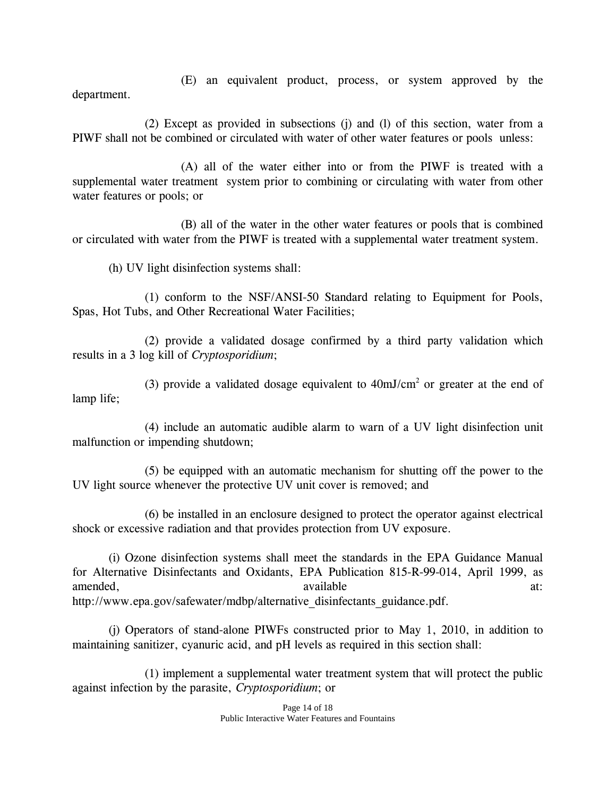(E) an equivalent product, process, or system approved by the

department.

 (2) Except as provided in subsections (j) and (l) of this section, water from a PIWF shall not be combined or circulated with water of other water features or pools unless:

 (A) all of the water either into or from the PIWF is treated with a supplemental water treatment system prior to combining or circulating with water from other water features or pools; or

(B) all of the water in the other water features or pools that is combined or circulated with water from the PIWF is treated with a supplemental water treatment system.

(h) UV light disinfection systems shall:

 (1) conform to the NSF/ANSI-50 Standard relating to Equipment for Pools, Spas, Hot Tubs, and Other Recreational Water Facilities;

 (2) provide a validated dosage confirmed by a third party validation which results in a 3 log kill of *Cryptosporidium*;

(3) provide a validated dosage equivalent to  $40 \text{mJ/cm}^2$  or greater at the end of lamp life;

 (4) include an automatic audible alarm to warn of a UV light disinfection unit malfunction or impending shutdown;

 (5) be equipped with an automatic mechanism for shutting off the power to the UV light source whenever the protective UV unit cover is removed; and

 (6) be installed in an enclosure designed to protect the operator against electrical shock or excessive radiation and that provides protection from UV exposure.

 (i) Ozone disinfection systems shall meet the standards in the EPA Guidance Manual for Alternative Disinfectants and Oxidants, EPA Publication 815-R-99-014, April 1999, as amended, available available at: http://www.epa.gov/safewater/mdbp/alternative\_disinfectants\_guidance.pdf.

 (j) Operators of stand-alone PIWFs constructed prior to May 1, 2010, in addition to maintaining sanitizer, cyanuric acid, and pH levels as required in this section shall:

 (1) implement a supplemental water treatment system that will protect the public against infection by the parasite, *Cryptosporidium*; or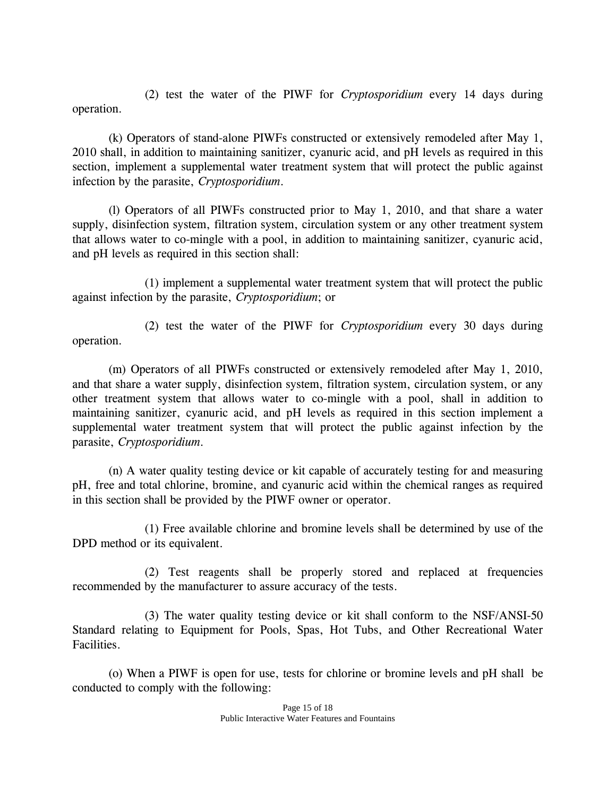(2) test the water of the PIWF for *Cryptosporidium* every 14 days during operation.

 (k) Operators of stand-alone PIWFs constructed or extensively remodeled after May 1, 2010 shall, in addition to maintaining sanitizer, cyanuric acid, and pH levels as required in this section, implement a supplemental water treatment system that will protect the public against infection by the parasite, *Cryptosporidium*.

 (l) Operators of all PIWFs constructed prior to May 1, 2010, and that share a water supply, disinfection system, filtration system, circulation system or any other treatment system that allows water to co-mingle with a pool, in addition to maintaining sanitizer, cyanuric acid, and pH levels as required in this section shall:

 (1) implement a supplemental water treatment system that will protect the public against infection by the parasite, *Cryptosporidium*; or

 (2) test the water of the PIWF for *Cryptosporidium* every 30 days during operation.

 (m) Operators of all PIWFs constructed or extensively remodeled after May 1, 2010, and that share a water supply, disinfection system, filtration system, circulation system, or any other treatment system that allows water to co-mingle with a pool, shall in addition to maintaining sanitizer, cyanuric acid, and pH levels as required in this section implement a supplemental water treatment system that will protect the public against infection by the parasite, *Cryptosporidium*.

 (n) A water quality testing device or kit capable of accurately testing for and measuring pH, free and total chlorine, bromine, and cyanuric acid within the chemical ranges as required in this section shall be provided by the PIWF owner or operator.

 (1) Free available chlorine and bromine levels shall be determined by use of the DPD method or its equivalent.

 (2) Test reagents shall be properly stored and replaced at frequencies recommended by the manufacturer to assure accuracy of the tests.

 (3) The water quality testing device or kit shall conform to the NSF/ANSI-50 Standard relating to Equipment for Pools, Spas, Hot Tubs, and Other Recreational Water Facilities.

 (o) When a PIWF is open for use, tests for chlorine or bromine levels and pH shall be conducted to comply with the following: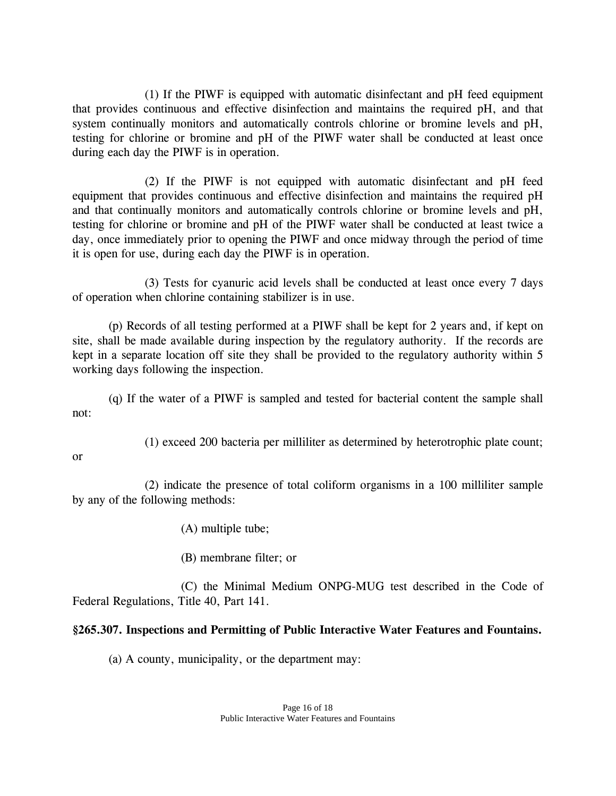(1) If the PIWF is equipped with automatic disinfectant and pH feed equipment that provides continuous and effective disinfection and maintains the required pH, and that system continually monitors and automatically controls chlorine or bromine levels and pH, testing for chlorine or bromine and pH of the PIWF water shall be conducted at least once during each day the PIWF is in operation.

 (2) If the PIWF is not equipped with automatic disinfectant and pH feed equipment that provides continuous and effective disinfection and maintains the required pH and that continually monitors and automatically controls chlorine or bromine levels and pH, testing for chlorine or bromine and pH of the PIWF water shall be conducted at least twice a day, once immediately prior to opening the PIWF and once midway through the period of time it is open for use, during each day the PIWF is in operation.

 (3) Tests for cyanuric acid levels shall be conducted at least once every 7 days of operation when chlorine containing stabilizer is in use.

 (p) Records of all testing performed at a PIWF shall be kept for 2 years and, if kept on site, shall be made available during inspection by the regulatory authority. If the records are kept in a separate location off site they shall be provided to the regulatory authority within 5 working days following the inspection.

 (q) If the water of a PIWF is sampled and tested for bacterial content the sample shall not:

(1) exceed 200 bacteria per milliliter as determined by heterotrophic plate count;

#### or

 (2) indicate the presence of total coliform organisms in a 100 milliliter sample by any of the following methods:

(A) multiple tube;

(B) membrane filter; or

 (C) the Minimal Medium ONPG-MUG test described in the Code of Federal Regulations, Title 40, Part 141.

## **§265.307. Inspections and Permitting of Public Interactive Water Features and Fountains.**

(a) A county, municipality, or the department may: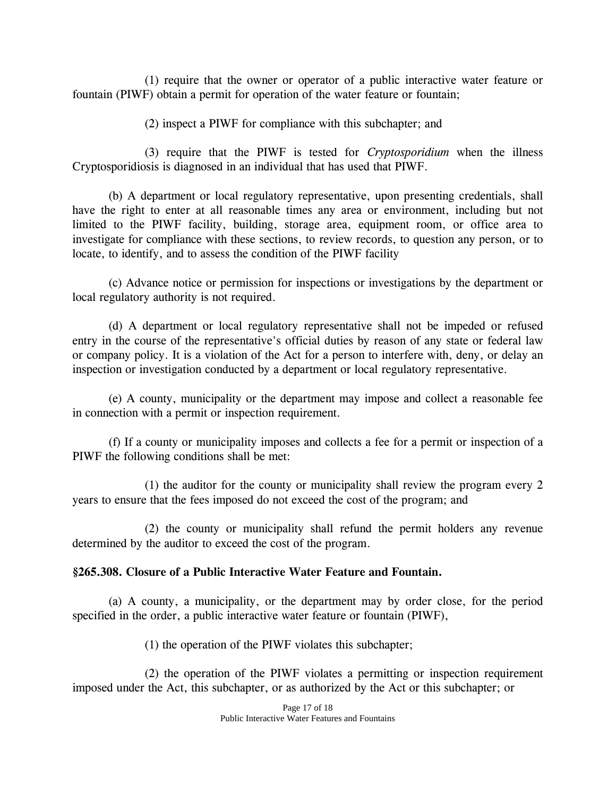(1) require that the owner or operator of a public interactive water feature or fountain (PIWF) obtain a permit for operation of the water feature or fountain;

(2) inspect a PIWF for compliance with this subchapter; and

 (3) require that the PIWF is tested for *Cryptosporidium* when the illness Cryptosporidiosis is diagnosed in an individual that has used that PIWF.

 (b) A department or local regulatory representative, upon presenting credentials, shall have the right to enter at all reasonable times any area or environment, including but not limited to the PIWF facility, building, storage area, equipment room, or office area to investigate for compliance with these sections, to review records, to question any person, or to locate, to identify, and to assess the condition of the PIWF facility

 (c) Advance notice or permission for inspections or investigations by the department or local regulatory authority is not required.

 (d) A department or local regulatory representative shall not be impeded or refused entry in the course of the representative's official duties by reason of any state or federal law or company policy. It is a violation of the Act for a person to interfere with, deny, or delay an inspection or investigation conducted by a department or local regulatory representative.

 (e) A county, municipality or the department may impose and collect a reasonable fee in connection with a permit or inspection requirement.

 (f) If a county or municipality imposes and collects a fee for a permit or inspection of a PIWF the following conditions shall be met:

 (1) the auditor for the county or municipality shall review the program every 2 years to ensure that the fees imposed do not exceed the cost of the program; and

 (2) the county or municipality shall refund the permit holders any revenue determined by the auditor to exceed the cost of the program.

## **§265.308. Closure of a Public Interactive Water Feature and Fountain.**

 (a) A county, a municipality, or the department may by order close, for the period specified in the order, a public interactive water feature or fountain (PIWF),

(1) the operation of the PIWF violates this subchapter;

 (2) the operation of the PIWF violates a permitting or inspection requirement imposed under the Act, this subchapter, or as authorized by the Act or this subchapter; or